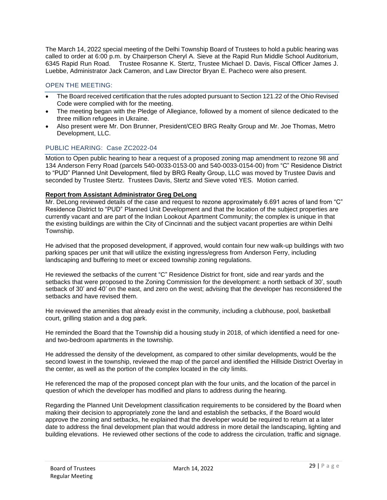The March 14, 2022 special meeting of the Delhi Township Board of Trustees to hold a public hearing was called to order at 6:00 p.m. by Chairperson Cheryl A. Sieve at the Rapid Run Middle School Auditorium, 6345 Rapid Run Road. Trustee Rosanne K. Stertz, Trustee Michael D. Davis, Fiscal Officer James J. Luebbe, Administrator Jack Cameron, and Law Director Bryan E. Pacheco were also present.

# OPEN THE MEETING:

- The Board received certification that the rules adopted pursuant to Section 121.22 of the Ohio Revised Code were complied with for the meeting.
- The meeting began with the Pledge of Allegiance, followed by a moment of silence dedicated to the three million refugees in Ukraine.
- Also present were Mr. Don Brunner, President/CEO BRG Realty Group and Mr. Joe Thomas, Metro Development, LLC.

# PUBLIC HEARING: Case ZC2022-04

Motion to Open public hearing to hear a request of a proposed zoning map amendment to rezone 98 and 134 Anderson Ferry Road (parcels 540-0033-0153-00 and 540-0033-0154-00) from "C" Residence District to "PUD" Planned Unit Development, filed by BRG Realty Group, LLC was moved by Trustee Davis and seconded by Trustee Stertz. Trustees Davis, Stertz and Sieve voted YES. Motion carried.

#### **Report from Assistant Administrator Greg DeLong**

Mr. DeLong reviewed details of the case and request to rezone approximately 6.691 acres of land from "C" Residence District to "PUD" Planned Unit Development and that the location of the subject properties are currently vacant and are part of the Indian Lookout Apartment Community; the complex is unique in that the existing buildings are within the City of Cincinnati and the subject vacant properties are within Delhi Township.

He advised that the proposed development, if approved, would contain four new walk-up buildings with two parking spaces per unit that will utilize the existing ingress/egress from Anderson Ferry, including landscaping and buffering to meet or exceed township zoning regulations.

He reviewed the setbacks of the current "C" Residence District for front, side and rear yards and the setbacks that were proposed to the Zoning Commission for the development: a north setback of 30', south setback of 30' and 40' on the east, and zero on the west; advising that the developer has reconsidered the setbacks and have revised them.

He reviewed the amenities that already exist in the community, including a clubhouse, pool, basketball court, grilling station and a dog park.

He reminded the Board that the Township did a housing study in 2018, of which identified a need for oneand two-bedroom apartments in the township.

He addressed the density of the development, as compared to other similar developments, would be the second lowest in the township, reviewed the map of the parcel and identified the Hillside District Overlay in the center, as well as the portion of the complex located in the city limits.

He referenced the map of the proposed concept plan with the four units, and the location of the parcel in question of which the developer has modified and plans to address during the hearing.

Regarding the Planned Unit Development classification requirements to be considered by the Board when making their decision to appropriately zone the land and establish the setbacks, if the Board would approve the zoning and setbacks, he explained that the developer would be required to return at a later date to address the final development plan that would address in more detail the landscaping, lighting and building elevations. He reviewed other sections of the code to address the circulation, traffic and signage.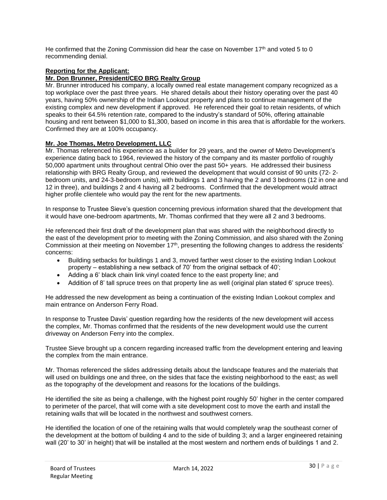He confirmed that the Zoning Commission did hear the case on November 17<sup>th</sup> and voted 5 to 0 recommending denial.

# **Reporting for the Applicant:**

## **Mr. Don Brunner, President/CEO BRG Realty Group**

Mr. Brunner introduced his company, a locally owned real estate management company recognized as a top workplace over the past three years. He shared details about their history operating over the past 40 years, having 50% ownership of the Indian Lookout property and plans to continue management of the existing complex and new development if approved. He referenced their goal to retain residents, of which speaks to their 64.5% retention rate, compared to the industry's standard of 50%, offering attainable housing and rent between \$1,000 to \$1,300, based on income in this area that is affordable for the workers. Confirmed they are at 100% occupancy.

#### **Mr. Joe Thomas, Metro Development, LLC**

Mr. Thomas referenced his experience as a builder for 29 years, and the owner of Metro Development's experience dating back to 1964, reviewed the history of the company and its master portfolio of roughly 50,000 apartment units throughout central Ohio over the past 50+ years. He addressed their business relationship with BRG Realty Group, and reviewed the development that would consist of 90 units (72- 2 bedroom units, and 24-3-bedroom units), with buildings 1 and 3 having the 2 and 3 bedrooms (12 in one and 12 in three), and buildings 2 and 4 having all 2 bedrooms. Confirmed that the development would attract higher profile clientele who would pay the rent for the new apartments.

In response to Trustee Sieve's question concerning previous information shared that the development that it would have one-bedroom apartments, Mr. Thomas confirmed that they were all 2 and 3 bedrooms.

He referenced their first draft of the development plan that was shared with the neighborhood directly to the east of the development prior to meeting with the Zoning Commission, and also shared with the Zoning Commission at their meeting on November 17<sup>th</sup>, presenting the following changes to address the residents' concerns:

- Building setbacks for buildings 1 and 3, moved farther west closer to the existing Indian Lookout property – establishing a new setback of 70' from the original setback of 40';
- Adding a 6' black chain link vinyl coated fence to the east property line; and
- Addition of 8' tall spruce trees on that property line as well (original plan stated 6' spruce trees).

He addressed the new development as being a continuation of the existing Indian Lookout complex and main entrance on Anderson Ferry Road.

In response to Trustee Davis' question regarding how the residents of the new development will access the complex, Mr. Thomas confirmed that the residents of the new development would use the current driveway on Anderson Ferry into the complex.

Trustee Sieve brought up a concern regarding increased traffic from the development entering and leaving the complex from the main entrance.

Mr. Thomas referenced the slides addressing details about the landscape features and the materials that will used on buildings one and three, on the sides that face the existing neighborhood to the east; as well as the topography of the development and reasons for the locations of the buildings.

He identified the site as being a challenge, with the highest point roughly 50' higher in the center compared to perimeter of the parcel, that will come with a site development cost to move the earth and install the retaining walls that will be located in the northwest and southwest corners.

He identified the location of one of the retaining walls that would completely wrap the southeast corner of the development at the bottom of building 4 and to the side of building 3; and a larger engineered retaining wall (20' to 30' in height) that will be installed at the most western and northern ends of buildings 1 and 2.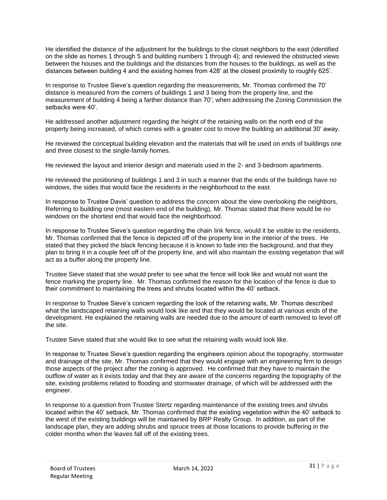He identified the distance of the adjustment for the buildings to the closet neighbors to the east (identified on the slide as homes 1 through 5 and building numbers 1 through 4); and reviewed the obstructed views between the houses and the buildings and the distances from the houses to the buildings, as well as the distances between building 4 and the existing homes from 428' at the closest proximity to roughly 625'.

In response to Trustee Sieve's question regarding the measurements, Mr. Thomas confirmed the 70' distance is measured from the corners of buildings 1 and 3 being from the property line, and the measurement of building 4 being a farther distance than 70'; when addressing the Zoning Commission the setbacks were 40'.

He addressed another adjustment regarding the height of the retaining walls on the north end of the property being increased, of which comes with a greater cost to move the building an additional 30' away.

He reviewed the conceptual building elevation and the materials that will be used on ends of buildings one and three closest to the single-family homes.

He reviewed the layout and interior design and materials used in the 2- and 3-bedroom apartments.

He reviewed the positioning of buildings 1 and 3 in such a manner that the ends of the buildings have no windows, the sides that would face the residents in the neighborhood to the east.

In response to Trustee Davis' question to address the concern about the view overlooking the neighbors, Referring to building one (most eastern end of the building), Mr. Thomas stated that there would be no windows on the shortest end that would face the neighborhood.

In response to Trustee Sieve's question regarding the chain link fence, would it be visible to the residents, Mr. Thomas confirmed that the fence is depicted off of the property line in the interior of the trees. He stated that they picked the black fencing because it is known to fade into the background, and that they plan to bring it in a couple feet off of the property line, and will also maintain the existing vegetation that will act as a buffer along the property line.

Trustee Sieve stated that she would prefer to see what the fence will look like and would not want the fence marking the property line. Mr. Thomas confirmed the reason for the location of the fence is due to their commitment to maintaining the trees and shrubs located within the 40' setback.

In response to Trustee Sieve's concern regarding the look of the retaining walls, Mr. Thomas described what the landscaped retaining walls would look like and that they would be located at various ends of the development. He explained the retaining walls are needed due to the amount of earth removed to level off the site.

Trustee Sieve stated that she would like to see what the retaining walls would look like.

In response to Trustee Sieve's question regarding the engineers opinion about the topography, stormwater and drainage of the site, Mr. Thomas confirmed that they would engage with an engineering firm to design those aspects of the project after the zoning is approved. He confirmed that they have to maintain the outflow of water as it exists today and that they are aware of the concerns regarding the topography of the site, existing problems related to flooding and stormwater drainage, of which will be addressed with the engineer.

In response to a question from Trustee Stertz regarding maintenance of the existing trees and shrubs located within the 40' setback, Mr. Thomas confirmed that the existing vegetation within the 40' setback to the west of the existing buildings will be maintained by BRP Realty Group. In addition, as part of the landscape plan, they are adding shrubs and spruce trees at those locations to provide buffering in the colder months when the leaves fall off of the existing trees.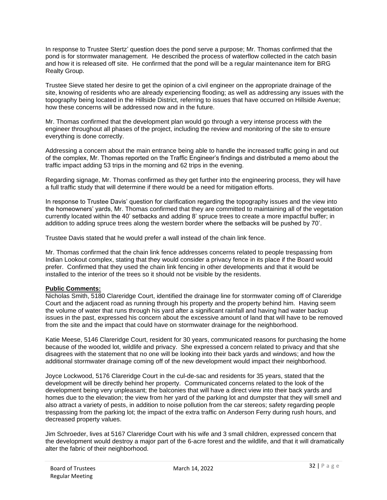In response to Trustee Stertz' question does the pond serve a purpose; Mr. Thomas confirmed that the pond is for stormwater management. He described the process of waterflow collected in the catch basin and how it is released off site. He confirmed that the pond will be a regular maintenance item for BRG Realty Group.

Trustee Sieve stated her desire to get the opinion of a civil engineer on the appropriate drainage of the site, knowing of residents who are already experiencing flooding; as well as addressing any issues with the topography being located in the Hillside District, referring to issues that have occurred on Hillside Avenue; how these concerns will be addressed now and in the future.

Mr. Thomas confirmed that the development plan would go through a very intense process with the engineer throughout all phases of the project, including the review and monitoring of the site to ensure everything is done correctly.

Addressing a concern about the main entrance being able to handle the increased traffic going in and out of the complex, Mr. Thomas reported on the Traffic Engineer's findings and distributed a memo about the traffic impact adding 53 trips in the morning and 62 trips in the evening.

Regarding signage, Mr. Thomas confirmed as they get further into the engineering process, they will have a full traffic study that will determine if there would be a need for mitigation efforts.

In response to Trustee Davis' question for clarification regarding the topography issues and the view into the homeowners' yards, Mr. Thomas confirmed that they are committed to maintaining all of the vegetation currently located within the 40' setbacks and adding 8' spruce trees to create a more impactful buffer; in addition to adding spruce trees along the western border where the setbacks will be pushed by 70'.

Trustee Davis stated that he would prefer a wall instead of the chain link fence.

Mr. Thomas confirmed that the chain link fence addresses concerns related to people trespassing from Indian Lookout complex, stating that they would consider a privacy fence in its place if the Board would prefer. Confirmed that they used the chain link fencing in other developments and that it would be installed to the interior of the trees so it should not be visible by the residents.

## **Public Comments:**

Nicholas Smith, 5180 Clareridge Court, identified the drainage line for stormwater coming off of Clareridge Court and the adjacent road as running through his property and the property behind him. Having seem the volume of water that runs through his yard after a significant rainfall and having had water backup issues in the past, expressed his concern about the excessive amount of land that will have to be removed from the site and the impact that could have on stormwater drainage for the neighborhood.

Katie Meese, 5146 Clareridge Court, resident for 30 years, communicated reasons for purchasing the home because of the wooded lot, wildlife and privacy. She expressed a concern related to privacy and that she disagrees with the statement that no one will be looking into their back yards and windows; and how the additional stormwater drainage coming off of the new development would impact their neighborhood.

Joyce Lockwood, 5176 Clareridge Court in the cul-de-sac and residents for 35 years, stated that the development will be directly behind her property. Communicated concerns related to the look of the development being very unpleasant; the balconies that will have a direct view into their back yards and homes due to the elevation; the view from her yard of the parking lot and dumpster that they will smell and also attract a variety of pests, in addition to noise pollution from the car stereos; safety regarding people trespassing from the parking lot; the impact of the extra traffic on Anderson Ferry during rush hours, and decreased property values.

Jim Schroeder, lives at 5167 Clareridge Court with his wife and 3 small children, expressed concern that the development would destroy a major part of the 6-acre forest and the wildlife, and that it will dramatically alter the fabric of their neighborhood.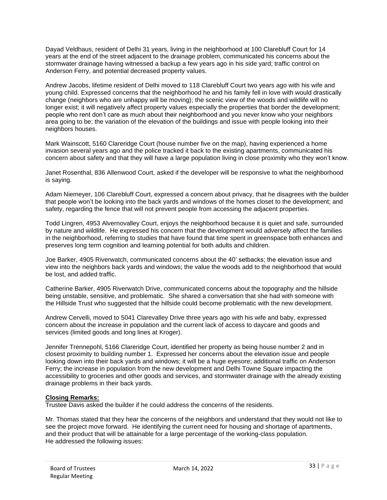Dayad Veldhaus, resident of Delhi 31 years, living in the neighborhood at 100 Clarebluff Court for 14 years at the end of the street adjacent to the drainage problem, communicated his concerns about the stormwater drainage having witnessed a backup a few years ago in his side yard; traffic control on Anderson Ferry, and potential decreased property values.

Andrew Jacobs, lifetime resident of Delhi moved to 118 Clarebluff Court two years ago with his wife and young child. Expressed concerns that the neighborhood he and his family fell in love with would drastically change (neighbors who are unhappy will be moving); the scenic view of the woods and wildlife will no longer exist; it will negatively affect property values especially the properties that border the development; people who rent don't care as much about their neighborhood and you never know who your neighbors area going to be; the variation of the elevation of the buildings and issue with people looking into their neighbors houses.

Mark Wainscott, 5160 Clareridge Court (house number five on the map), having experienced a home invasion several years ago and the police tracked it back to the existing apartments, communicated his concern about safety and that they will have a large population living in close proximity who they won't know.

Janet Rosenthal, 836 Allenwood Court, asked if the developer will be responsive to what the neighborhood is saying.

Adam Niemeyer, 106 Clarebluff Court, expressed a concern about privacy, that he disagrees with the builder that people won't be looking into the back yards and windows of the homes closet to the development; and safety, regarding the fence that will not prevent people from accessing the adjacent properties.

Todd Lingren, 4953 Alvernovalley Court, enjoys the neighborhood because it is quiet and safe, surrounded by nature and wildlife. He expressed his concern that the development would adversely affect the families in the neighborhood, referring to studies that have found that time spent in greenspace both enhances and preserves long term cognition and learning potential for both adults and children.

Joe Barker, 4905 Riverwatch, communicated concerns about the 40' setbacks; the elevation issue and view into the neighbors back yards and windows; the value the woods add to the neighborhood that would be lost, and added traffic.

Catherine Barker, 4905 Riverwatch Drive, communicated concerns about the topography and the hillside being unstable, sensitive, and problematic. She shared a conversation that she had with someone with the Hillside Trust who suggested that the hillside could become problematic with the new development.

Andrew Cervelli, moved to 5041 Clarevalley Drive three years ago with his wife and baby, expressed concern about the increase in population and the current lack of access to daycare and goods and services (limited goods and long lines at Kroger).

Jennifer Trennepohl, 5166 Clareridge Court, identified her property as being house number 2 and in closest proximity to building number 1. Expressed her concerns about the elevation issue and people looking down into their back yards and windows; it will be a huge eyesore; additional traffic on Anderson Ferry; the increase in population from the new development and Delhi Towne Square impacting the accessibility to groceries and other goods and services, and stormwater drainage with the already existing drainage problems in their back yards.

## **Closing Remarks:**

Trustee Davis asked the builder if he could address the concerns of the residents.

Mr. Thomas stated that they hear the concerns of the neighbors and understand that they would not like to see the project move forward. He identifying the current need for housing and shortage of apartments, and their product that will be attainable for a large percentage of the working-class population. He addressed the following issues: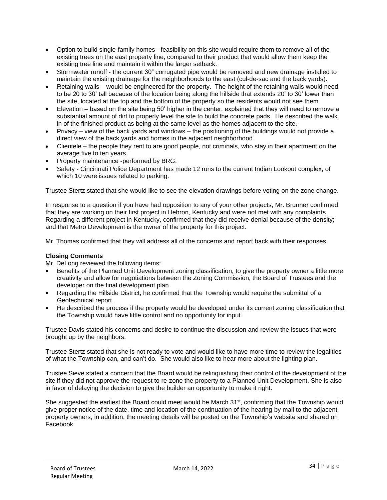- Option to build single-family homes feasibility on this site would require them to remove all of the existing trees on the east property line, compared to their product that would allow them keep the existing tree line and maintain it within the larger setback.
- Stormwater runoff the current 30" corrugated pipe would be removed and new drainage installed to maintain the existing drainage for the neighborhoods to the east (cul-de-sac and the back yards).
- Retaining walls would be engineered for the property. The height of the retaining walls would need to be 20 to 30' tall because of the location being along the hillside that extends 20' to 30' lower than the site, located at the top and the bottom of the property so the residents would not see them.
- Elevation based on the site being 50' higher in the center, explained that they will need to remove a substantial amount of dirt to properly level the site to build the concrete pads. He described the walk in of the finished product as being at the same level as the homes adjacent to the site.
- Privacy view of the back yards and windows the positioning of the buildings would not provide a direct view of the back yards and homes in the adjacent neighborhood.
- Clientele the people they rent to are good people, not criminals, who stay in their apartment on the average five to ten years.
- Property maintenance -performed by BRG.
- Safety Cincinnati Police Department has made 12 runs to the current Indian Lookout complex, of which 10 were issues related to parking.

Trustee Stertz stated that she would like to see the elevation drawings before voting on the zone change.

In response to a question if you have had opposition to any of your other projects, Mr. Brunner confirmed that they are working on their first project in Hebron, Kentucky and were not met with any complaints. Regarding a different project in Kentucky, confirmed that they did receive denial because of the density; and that Metro Development is the owner of the property for this project.

Mr. Thomas confirmed that they will address all of the concerns and report back with their responses.

## **Closing Comments**

Mr. DeLong reviewed the following items:

- Benefits of the Planned Unit Development zoning classification, to give the property owner a little more creativity and allow for negotiations between the Zoning Commission, the Board of Trustees and the developer on the final development plan.
- Regarding the Hillside District, he confirmed that the Township would require the submittal of a Geotechnical report.
- He described the process if the property would be developed under its current zoning classification that the Township would have little control and no opportunity for input.

Trustee Davis stated his concerns and desire to continue the discussion and review the issues that were brought up by the neighbors.

Trustee Stertz stated that she is not ready to vote and would like to have more time to review the legalities of what the Township can, and can't do. She would also like to hear more about the lighting plan.

Trustee Sieve stated a concern that the Board would be relinquishing their control of the development of the site if they did not approve the request to re-zone the property to a Planned Unit Development. She is also in favor of delaying the decision to give the builder an opportunity to make it right.

She suggested the earliest the Board could meet would be March 31<sup>st</sup>, confirming that the Township would give proper notice of the date, time and location of the continuation of the hearing by mail to the adjacent property owners; in addition, the meeting details will be posted on the Township's website and shared on Facebook.